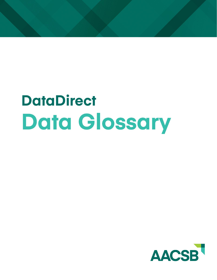# **DataDirect Data Glossary**

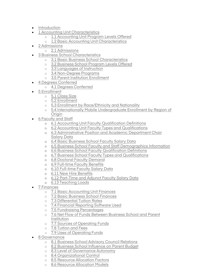- Introduction
- 1 Accounting Unit Characteristics
	- o 1.1 Accounting Unit Program Levels Offered
	- o 1.2 Basic Accounting Unit Characteristics
- 2 Admissions
	- o 2.1 Admissions
- 3 Business School Characteristics
	- o 3.1 Basic Business School Characteristics
	- o 3.2 Business School Program Levels Offered
	- o 3.3 Languages of Instruction
	- o 3.4 Non-Degree Programs
	- o 3.5 Parent Institution Enrollment
- 4 Degrees Conferred
	- o 4.1 Degrees Conferred
- 5 Enrollment
	- o 5.1 Class Size
	- o 5.2 Enrollment
	- o 5.3 Enrollment by Race/Ethnicity and Nationality
	- o 5.4 Internationally Mobile Undergraduate Enrollment by Region of **Origin**
- 6 Faculty and Staff
	- o 6.1 Accounting Unit Faculty Qualification Definitions
	- o 6.2 Accounting Unit Faculty Types and Qualifications
	- o 6.3 Administrative Position and Academic Department Chair Salary Data
	- o 6.4 Basic Business School Faculty Salary Data
	- o 6.5 Business School Faculty and Staff Demographics Information
	- o 6.6 Business School Faculty Qualification Definitions
	- o 6.7 Business School Faculty Types and Qualifications
	- o 6.8 Doctoral Faculty Demand
	- o 6.9 Full-time Faculty Benefits
	- o 6.10 Full-time Faculty Salary Data
	- o 6.11 New Hire Benefits
	- o 6.12 Part-Time and Adjunct Faculty Salary Data
	- o 6.13 Teaching Loads
- 7 Finances
	- o 7.1 Basic Accounting Unit Finances
	- o 7.2 Basic Business School Finances
	- o 7.3 Differential Tuition Rates
	- o 7.4 Financial Reporting Software Used
	- o 7.5 Fundraising Percentages
	- o 7.6 Net Flow of Funds Between Business School and Parent Institution
	- o 7.7 Sources of Operating Funds
	- o 7.8 Tuition and Fees
	- o 7.9 Uses of Operating Funds
- 8 Governance
	- o 8.1 Business School Advisory Council Relations
	- o 8.2 Business School Influence on Parent Budget
	- o 8.3 Level of Governance Autonomy
	- o 8.4 Organizational Control
	- o 8.5 Resource Allocation Factors
	- o 8.6 Resource Allocation Models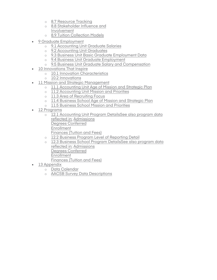- o 8.7 Resource Tracking
- o 8.8 Stakeholder Influence and Involvement
- o 8.9 Tuition Collection Models
- 9 Graduate Employment
	- o 9.1 Accounting Unit Graduate Salaries
	- o 9.2 Accounting Unit Graduates
	- o 9.3 Business Unit Basic Graduate Employment Data
	- o 9.4 Business Unit Graduate Employment
	- o 9.5 Business Unit Graduate Salary and Compensation
- 10 Innovations That Inspire
	- o 10.1 Innovation Characteristics
	- o 10.2 Innovations
- 11 Mission and Strategic Management
	- o 11.1 Accounting Unit Age of Mission and Strategic Plan
	- o 11.2 Accounting Unit Mission and Priorities
	- o 11.3 Area of Recruiting Focus
	- o 11.4 Business School Age of Mission and Strategic Plan
	- o 11.5 Business School Mission and Priorities
- 12 Programs
	- o 12.1 Accounting Unit Program DetailsSee also program data reflected in: Admissions Degrees Conferred **Enrollment** Finances (Tuition and Fees) o 12.2 Business Program Level of Reporting Detail
	- o 12.3 Business School Program DetailsSee also program data reflected in: Admissions Degrees Conferred
		- Enrollment
		- Finances (Tuition and Fees)
- 13 Appendix
	- o Data Calendar
	- o AACSB Survey Data Descriptions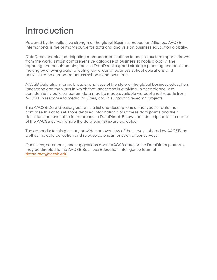### Introduction

Powered by the collective strength of the global Business Education Alliance, AACSB International is the primary source for data and analysis on business education globally.

DataDirect enables participating member organizations to access custom reports drawn from the world's most comprehensive database of business schools globally. The reporting and benchmarking tools in DataDirect support strategic planning and decisionmaking by allowing data reflecting key areas of business school operations and activities to be compared across schools and over time.

AACSB data also informs broader analyses of the state of the global business education landscape and the ways in which that landscape is evolving. In accordance with confidentiality policies, certain data may be made available via published reports from AACSB, in response to media inquiries, and in support of research projects.

This AACSB Data Glossary contains a list and descriptions of the types of data that comprise this data set. More detailed information about these data points and their definitions are available for reference in DataDirect. Below each description is the name of the AACSB survey where the data point(s) is/are collected.

The appendix to this glossary provides an overview of the surveys offered by AACSB, as well as the data collection and release calendar for each of our surveys.

Questions, comments, and suggestions about AACSB data, or the DataDirect platform, may be directed to the AACSB Business Education Intell[igence team at](mailto:datadirect@aacsb.edu) datadirect@aacsb.edu.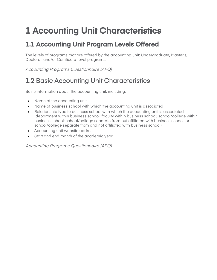# **1 Accounting Unit Characteristics**

#### **1.1 Accounting Unit Program Levels Offered**

The levels of programs that are offered by the accounting unit: Undergraduate, Master's, Doctoral, and/or Certificate-level programs.

Accounting Programs Questionnaire (APQ)

### 1.2 Basic Accounting Unit Characteristics

Basic information about the accounting unit, including:

- Name of the accounting unit
- Name of business school with which the accounting unit is associated
- Relationship type to business school with which the accounting unit is associated (department within business school; faculty within business school; school/college within business school; school/college separate from but affiliated with business school, or school/college separate from and not affiliated with business school)
- Accounting unit website address
- Start and end month of the academic year

Accounting Programs Questionnaire (APQ)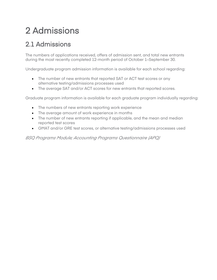# 2 Admissions

#### 2.1 Admissions

The numbers of applications received, offers of admission sent, and total new entrants during the most recently completed 12-month period of October 1–September 30.

Undergraduate program admission information is available for each school regarding:

- The number of new entrants that reported SAT or ACT test scores or any alternative testing/admissions processes used
- The average SAT and/or ACT scores for new entrants that reported scores.

Graduate program information is available for each graduate program individually regarding:

- The numbers of new entrants reporting work experience
- The average amount of work experience in months
- The number of new entrants reporting if applicable, and the mean and median reported test scores
- GMAT and/or GRE test scores, or alternative testing/admissions processes used

*BSQ Programs Module; Accounting Programs Questionnaire (APQ)*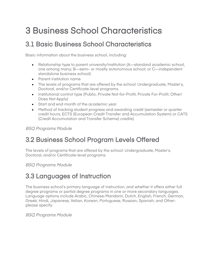# 3 Business School Characteristics

#### 3.1 Basic Business School Characteristics

Basic information about the business school, including:

- Relationship type to parent university/institution (A—standard academic school, one among many; B—semi- or mostly autonomous school; or C—independent standalone business school)
- Parent institution name
- The levels of programs that are offered by the school: Undergraduate, Master's, Doctoral, and/or Certificate-level programs.
- Institutional control type (Public, Private Not-for-Profit, Private For-Profit, Other/ Does Not Apply)
- Start and end month of the academic year
- Method of tracking student progress and awarding credit (semester or quarter credit hours, ECTS (European Credit Transfer and Accumulation System) or CATS (Credit Accumulation and Transfer Scheme) credits)

BSQ Programs Module

#### 3.2 Business School Program Levels Offered

The levels of programs that are offered by the school: Undergraduate, Master's, Doctoral, and/or Certificate-level programs.

BSQ Programs Module

#### 3.3 Languages of Instruction

The business school's primary language of instruction, and whether it offers either full degree programs or partial degree programs in one or more secondary languages. Language options include Arabic, Chinese-Mandarin, Dutch, English, French, German, Greek, Hindi, Japanese, Italian, Korean, Portuguese, Russian, Spanish, and Otherplease specify.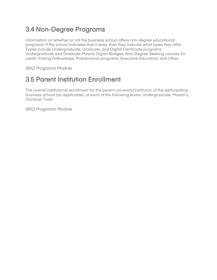#### 3.4 Non-Degree Programs

Information on whether or not the business school offers non-degree educational programs. If the school indicates that it does, then they indicate what types they offer. Types include Undergraduate, Graduate, and Digital Certificate programs; Undergraduate and Graduate Minors; Digital Badges; Non-Degree Seeking courses for credit; Visiting Fellowships; Postdoctoral programs; Executive Education; and Other.

BSQ Programs Module

#### 3.5 Parent Institution Enrollment

The overall institutional enrollment for the parent university/institution of the participating business school (as applicable), at each of the following levels: Undergraduate, Master's, Doctoral, Total.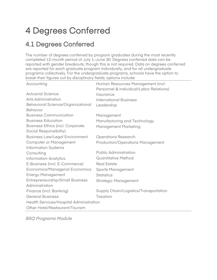# 4 Degrees Conferred

### 4.1 Degrees Conferred

The number of degrees conferred by program graduates during the most recently completed 12-month period of July 1–June 30. Degrees conferred data can be reported with gender breakouts, though this is not required. Data on degrees conferred are reported for each graduate program individually, and for all undergraduate programs collectively. For the undergraduate programs, schools have the option to break their figures out by disciplinary fields; options include:

| Accounting                              | Human Resources Management (incl.       |  |
|-----------------------------------------|-----------------------------------------|--|
|                                         | Personnel & Individual/Labor Relations) |  |
| <b>Actuarial Science</b>                | Insurance                               |  |
| Arts Administration                     | <b>International Business</b>           |  |
| Behavioral Science/Organizational       | Leadership                              |  |
| <b>Behavior</b>                         |                                         |  |
| <b>Business Communication</b>           | Management                              |  |
| <b>Business Education</b>               | Manufacturing and Technology            |  |
| <b>Business Ethics (incl. Corporate</b> | <b>Management Marketing</b>             |  |
| Social Responsibility)                  |                                         |  |
| <b>Business Law/Legal Environment</b>   | <b>Operations Research</b>              |  |
| <b>Computer or Management</b>           | <b>Production/Operations Management</b> |  |
| <b>Information Systems</b>              |                                         |  |
| Consulting                              | <b>Public Administration</b>            |  |
| <b>Information Analytics</b>            | <b>Quantitative Method</b>              |  |
| E-Business (incl. E-Commerce)           | <b>Real Estate</b>                      |  |
| Economics/Managerial Economics          | <b>Sports Management</b>                |  |
| <b>Energy Management</b>                | <b>Statistics</b>                       |  |
| <b>Entrepreneurship/Small Business</b>  | <b>Strategic Management</b>             |  |
| Administration                          |                                         |  |
| Finance (incl. Banking)                 | Supply Chain/Logistics/Transportation   |  |
| <b>General Business</b>                 | Taxation                                |  |
| Health Services/Hospital Administration |                                         |  |
| Other Hotel/Restaurant/Tourism          |                                         |  |
|                                         |                                         |  |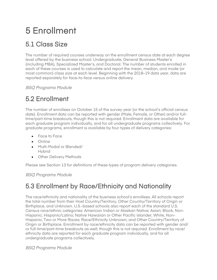# 5 Enrollment

### 5.1 Class Size

The number of required courses underway on the enrollment census date at each degree level offered by the business school: Undergraduate, General Business Master's (including MBA), Specialized Master's, and Doctoral. The number of students enrolled in each of these courses is used to calculate and report the mean, median, and mode (or most common) class size at each level. Beginning with the 2018–19 data year, data are reported separately for face-to-face versus online delivery.

BSQ Programs Module

### 5.2 Enrollment

The number of enrollees on October 15 of the survey year (or the school's official census date). Enrollment data can be reported with gender (Male, Female, or Other) and/or fulltime/part-time breakouts, though this is not required. Enrollment data are available for each graduate program individually, and for all undergraduate programs collectively. For graduate programs, enrollment is available by four types of delivery categories:

- Face to Face
- Online
- Multi-Modal or Blended/ Hybrid
- Other Delivery Methods

Please see Section 13 for definitions of these types of program delivery categories.

BSQ Programs Module

#### 5.3 Enrollment by Race/Ethnicity and Nationality

The race/ethnicity and nationality of the business school's enrollees. All schools report the total number from their Host Country/Territory, Other Country/Territory of Origin or Birthplace, and Unknown. U.S.-based schools also report each of the standard U.S. Census race/ethnic categories: American Indian or Alaskan Native; Asian; Black, Non-Hispanic; Hispanic/Latino; Native Hawaiian or Other Pacific Islander; White, Non-Hispanic; Two or More Races; Race/Ethnicity Unknown; and Other Country/Territory of Origin or Birthplace. Enrollment by race/ethnicity data can be reported with gender and/ or full-time/part-time breakouts as well, though this is not required. Enrollment by race/ ethnicity data are reported for each graduate program individually, and for all undergraduate programs collectively.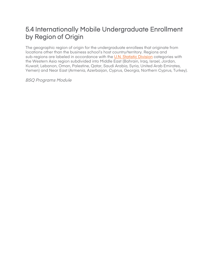#### 5.4 Internationally Mobile Undergraduate Enrollment by Region of Origin

The geographic region of origin for the undergraduate enrollees that originate from locations other than the business school's host country/territory. Regions and sub-regions are labeled in accordance with the U.N. Statistic Division categories with [the Western Asia region subdivided into Midd](https://unstats.un.org/unsd/methodology/m49/)le East (Bahrain, Iraq, Israel, Jordan, Kuwait, Lebanon, Oman, Palestine, Qatar, Saudi Arabia, Syria, United Arab Emirates, Yemen) and Near East (Armenia, Azerbaijan, Cyprus, Georgia, Northern Cyprus, Turkey).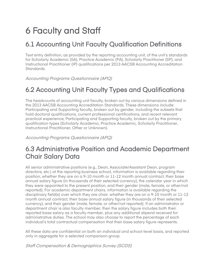# 6 Faculty and Staff

### 6.1 Accounting Unit Faculty Qualification Definitions

Text entry definition, as provided by the reporting accounting unit, of the unit's standards for Scholarly Academic (SA), Practice Academic (PA), Scholarly Practitioner (SP), and Instructional Practitioner (IP) qualifications per 2013 AACSB Accounting Accreditation Standards.

Accounting Programs Questionnaire (APQ)

#### 6.2 Accounting Unit Faculty Types and Qualifications

The headcounts of accounting unit faculty, broken out by various dimensions defined in the 2013 AACSB Accounting Accreditation Standards. These dimensions include: Participating and Supporting faculty, broken out by gender, including the subsets that hold doctoral qualifications, current professional certifications, and recent relevant practical experience; Participating and Supporting faculty, broken out by the primary qualification types (Scholarly Academic, Practice Academic, Scholarly Practitioner, Instructional Practitioner, Other or Unknown).

Accounting Programs Questionnaire (APQ)

#### 6.3 Administrative Position and Academic Department Chair Salary Data

All senior administrative positions (e.g., Dean, Associate/Assistant Dean, program directors, etc.) at the reporting business school, information is available regarding their position, whether they are on a 9-10 month or 11-12 month annual contract, their base annual salary figure (in thousands of their selected currency), the calendar year in which they were appointed to the present position, and their gender (male, female, or other/not reported). For academic department chairs, information is available regarding the disciplinary field(s) over which they are chair, whether they are on a 9-10 month or 11-12 month annual contract, their base annual salary figure (in thousands of their selected currency), and their gender (male, female, or other/not reported). If an administrator or department chair is also faculty member, then the salary figure includes both their reported base salary as a faculty member, plus any additional stipend received for administrative duties. The school may also choose to report the percentage of each individual's total contractual compensation that their base salary figure represents.

All these data are confidential on both an individual and school-level basis, and reported only in aggregate for a selected comparison group.

Staff Compensation & Demographics Survey (SCDS)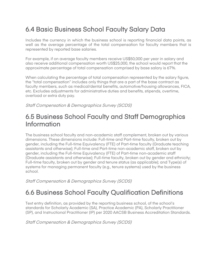#### 6.4 Basic Business School Faculty Salary Data

Includes the currency in which the business school is reporting financial data points, as well as the average percentage of the total compensation for faculty members that is represented by reported base salaries.

For example, if on average faculty members receive US\$50,000 per year in salary and also receive additional compensation worth US\$25,000, the school would report that the approximate percentage of total compensation comprised by base salary is 67%.

When calculating the percentage of total compensation represented by the salary figure, the "total compensation" includes only things that are a part of the base contract as faculty members, such as medical/dental benefits, automotive/housing allowances, FICA, etc. Excludes adjustments for administrative duties and benefits, stipends, overtime, overload or extra duty pay.

Staff Compensation & Demographics Survey (SCDS)

#### 6.5 Business School Faculty and Staff Demographics Information

The business school faculty and non-academic staff complement, broken out by various dimensions. These dimensions include: Full-time and Part-time faculty, broken out by gender, including the Full-time Equivalency (FTE) of Part-time faculty (Graduate teaching assistants and otherwise); Full-time and Part-time non-academic staff, broken out by gender, including the Full-time Equivalency (FTE) of Part-time non-academic staff (Graduate assistants and otherwise); Full-time faculty, broken out by gender and ethnicity; Full-time faculty, broken out by gender and tenure status (as applicable); and Type(s) of systems for managing permanent faculty (e.g., tenure systems) used by the business school.

Staff Compensation & Demographics Survey (SCDS)

#### 6.6 Business School Faculty Qualification Definitions

Text entry definition, as provided by the reporting business school, of the school's standards for Scholarly Academic (SA), Practice Academic (PA), Scholarly Practitioner (SP), and Instructional Practitioner (IP) per 2020 AACSB Business Accreditation Standards.

Staff Compensation & Demographics Survey (SCDS)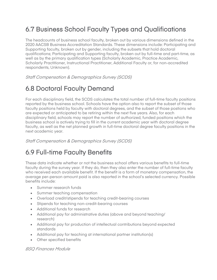#### 6.7 Business School Faculty Types and Qualifications

The headcounts of business school faculty, broken out by various dimensions defined in the 2020 AACSB Business Accreditation Standards. These dimensions include: Participating and Supporting faculty, broken out by gender, including the subsets that hold doctoral qualifications; Participating and Supporting faculty, broken out by full-time and part-time, as well as by the primary qualification types (Scholarly Academic, Practice Academic, Scholarly Practitioner, Instructional Practitioner, Additional Faculty or, for non-accredited respondents, Unknown).

Staff Compensation & Demographics Survey (SCDS)

### 6.8 Doctoral Faculty Demand

For each disciplinary field, the SCDS calculates the total number of full-time faculty positions reported by the business school. Schools have the option also to report the subset of those faculty positions held by faculty with doctoral degrees, and the subset of those postions who are expected or anticipated to be retiring within the next five years. Also, for each disciplinary field, schools may report the number of authorized, funded positions which the business school is actively trying to fill in the current academic year with doctoral degree faculty, as well as the net planned growth in full-time doctoral degree faculty positions in the next academic year.

Staff Compensation & Demographics Survey (SCDS)

### 6.9 Full-time Faculty Benefits

These data indicate whether or not the business school offers various benefits to full-time faculty during the survey year. If they do, then they also enter the number of full-time faculty who received each available benefit. If the benefit is a form of monetary compensation, the average per-person amount paid is also reported in the school's selected currency. Possible benefits include:

- Summer research funds
- Summer teaching compensation
- Overload credit/stipends for teaching credit-bearing courses
- Stipends for teaching non-credit-bearing courses
- Additional funds for research
- Additional pay for administrative duties (above and beyond teaching/ research)
- Additional pay for production of intellectual contributions beyond expected standards
- Additional pay for teaching at international partner institution(s)
- Other specified benefits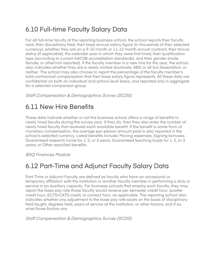### 6.10 Full-time Faculty Salary Data

For all full-time faculty at the reporting business school, the school reports their faculty rank, their disciplinary field, their base annual salary figure (in thousands of their selected currency), whether they are on a 9-10 month or 11-12 month annual contract, their tenure status (if applicable), the calendar year in which they were first hired, their qualification type (according to current AACSB accreditation standards), and their gender (male, female, or other/not reported). If the faculty member is a new hire for the year, the school also indicates whether they are a newly minted doctorate, ABD or all but dissertation, or neither. The school may also choose to report the percentage of the faculty member's total contractual compensation that their base salary figure represents. All these data are confidential on both an individual and school-level basis, and reported only in aggregate for a selected comparison group.

Staff Compensation & Demographics Survey (SCDS)

#### 6.11 New Hire Benefits

These data indicate whether or not the business school offers a range of benefits to newly hired faculty during the survey year. If they do, then they also enter the number of newly hired faculty that received each available benefit. If the benefit is some form of monetary compensation, the average per-person amount paid is also reported in the school's selected currency. Listed benefits include: Moving expenses; Signing bonuses; Guaranteed research funds for 1, 2, or 3 years; Guaranteed teaching loads for 1, 2, or 3 years; or Other specified benefits.

BSQ Finances Module

#### 6.12 Part-Time and Adjunct Faculty Salary Data

Part-Time or Adjunct Faculty are defined as faculty who have an occasional or temporary affiliation with the institution or another faculty member in performing a duty or service in an auxiliary capacity. For business schools that employ such faculty, they may report the base pay rate those faculty would receive per semester credit hour, quarter credit hour, ECTS/CATS credit, or contact hour, as applicable. The reporting school also indicates whether any adjustment to the base pay rate exists on the basis of disciplinary field taught, degrees held, years of service at the institution, or other factors, and if so, what those factors are.

Staff Compensation & Demographics Survey (SCDS)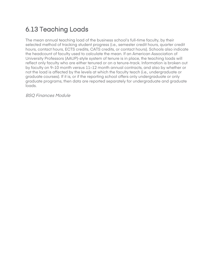### 6.13 Teaching Loads

The mean annual teaching load of the business school's full-time faculty, by their selected method of tracking student progress (i.e., semester credit hours, quarter credit hours, contact hours, ECTS credits, CATS credits, or contact hours). Schools also indicate the headcount of faculty used to calculate the mean. If an American Association of University Professors (AAUP)-style system of tenure is in place, the teaching loads will reflect only faculty who are either tenured or on a tenure-track. Information is broken out by faculty on 9–10 month versus 11–12 month annual contracts, and also by whether or not the load is affected by the levels at which the faculty teach (i.e., undergraduate or graduate courses). If it is, or if the reporting school offers only undergraduate or only graduate programs, then data are reported separately for undergraduate and graduate loads.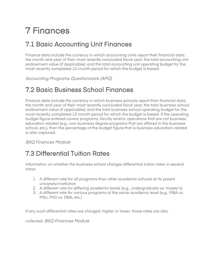# 7 Finances

#### 7.1 Basic Accounting Unit Finances

Finance data include the currency in which accounting units report their financial data; the month and year of their most recently concluded fiscal year; the total accounting unit endowment value (if applicable); and the total accounting unit operating budget for the most recently completed 12-month period for which the budget is based.

Accounting Programs Questionnaire (APQ)

#### 7.2 Basic Business School Finances

Finance data include the currency in which business schools report their financial data; the month and year of their most recently concluded fiscal year; the total business school endowment value (if applicable); and the total business school operating budget for the most recently completed 12-month period for which the budget is based. If the operating budget figure entered covers programs, faculty and/or operations that are not business education-related (e.g., non-business degree programs that are offered in the business school, etc.), then the percentage of the budget figure that is business education-related is also captured.

BSQ Finances Module

#### 7.3 Differential Tuition Rates

Information on whether the business school charges differential tuition rates in several ways:

- 1. A different rate for all programs than other academic schools at its parent university/institution
- 2. A different rate for differing academic levels (e.g., undergraduate vs. master's)
- 3. A different rate for various programs at the same academic level (e.g., MBA vs. MSc; PhD vs. DBA, etc.)

If any such differential rates are charged, higher or lower, those rates are also

collected. BSQ Finances Module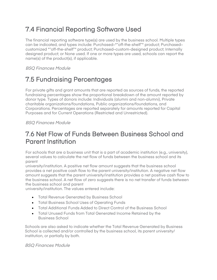#### 7.4 Financial Reporting Software Used

The financial reporting software type(s) are used by the business school. Multiple types can be indicated, and types include: Purchased–""off-the-shelf"" product; Purchased– customized ""off-the-shelf"" product; Purchased–custom-designed product; Internally designed product; or None used. If one or more types are used, schools can report the name(s) of the product(s), if applicable.

BSQ Finances Module

### 7.5 Fundraising Percentages

For private gifts and grant amounts that are reported as sources of funds, the reported fundraising percentages show the proportional breakdown of the amount reported by donor type. Types of donors include: Individuals (alumni and non-alumni), Private charitable organizations/foundations, Public organizations/foundations, and Corporations. Percentages are reported separately for amounts reported for Capital Purposes and for Current Operations (Restricted and Unrestricted).

BSQ Finances Module

#### 7.6 Net Flow of Funds Between Business School and Parent Institution

For schools that are a business unit that is a part of academic institution (e.g., university), several values to calculate the net flow of funds between the business school and its parent

university/institution. A positive net flow amount suggests that the business school provides a net positive cash flow to the parent university/institution. A negative net flow amount suggests that the parent university/institution provides a net positive cash flow to the business school. A net flow of zero suggests there is no net transfer of funds between the business school and parent

university/institution. The values entered include:

- Total Revenue Generated by Business School
- Total Business School Uses of Operating Funds
- Total Additional Funds Added to Direct Control of the Business School
- Total Unused Funds from Total Generated Income Retained by the Business School

Schools are also asked to indicate whether the Total Revenue Generated by Business School is collected and/or controlled by the business school, its parent university/ institution, or partially by both.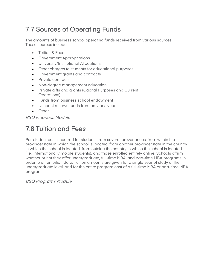### 7.7 Sources of Operating Funds

The amounts of business school operating funds received from various sources. These sources include:

- Tuition & Fees
- Government Appropriations
- University/Institutional Allocations
- Other charges to students for educational purposes
- Government grants and contracts
- Private contracts
- Non-degree management education
- Private gifts and grants (Capital Purposes and Current Operations)
- Funds from business school endowment
- Unspent reserve funds from previous years
- Other

BSQ Finances Module

### 7.8 Tuition and Fees

Per-student costs incurred for students from several provenances: from within the province/state in which the school is located, from another province/state in the country in which the school is located, from outside the country in which the school is located (i.e., internationally mobile students), and those enrolled entirely online. Schools affirm whether or not they offer undergraduate, full-time MBA, and part-time MBA programs in order to enter tuition data. Tuition amounts are given for a single year of study at the undergraduate level, and for the entire program cost of a full-time MBA or part-time MBA program.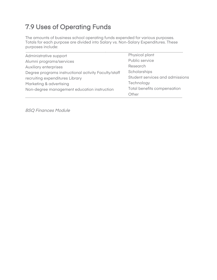### 7.9 Uses of Operating Funds

The amounts of business school operating funds expended for various purposes. Totals for each purpose are divided into Salary vs. Non-Salary Expenditures. These purposes include:

| Administrative support                               | Physical plant                  |
|------------------------------------------------------|---------------------------------|
| Alumni programs/services                             | Public service                  |
| Auxiliary enterprises                                | Research                        |
| Degree programs instructional activity Faculty/staff | Scholarships                    |
| recruiting expenditures Library                      | Student services and admissions |
| Marketing & advertising                              | Technology                      |
| Non-degree management education instruction          | Total benefits compensation     |
|                                                      | Other                           |
|                                                      |                                 |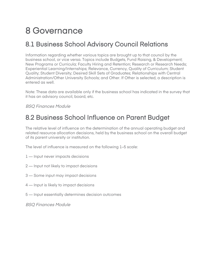### 8 Governance

#### 8.1 Business School Advisory Council Relations

Information regarding whether various topics are brought up to that council by the business school, or vice versa. Topics include Budgets, Fund Raising, & Development; New Programs or Curricula; Faculty Hiring and Retention; Research or Research Needs; Experiential Learning/Internships; Relevance, Currency, Quality of Curriculum; Student Quality; Student Diversity; Desired Skill Sets of Graduates; Relationships with Central Administration/Other University Schools; and Other. If Other is selected, a description is entered as well.

Note: These data are available only if the business school has indicated in the survey that it has an advisory council, board, etc.

BSQ Finances Module

#### 8.2 Business School Influence on Parent Budget

The relative level of influence on the determination of the annual operating budget and related resource allocation decisions, held by the business school on the overall budget of its parent university or institution.

The level of influence is measured on the following 1–5 scale:

- 1 Input never impacts decisions
- 2 Input not likely to impact decisions
- 3 Some input may impact decisions
- 4 Input is likely to impact decisions
- 5 Input essentially determines decision outcomes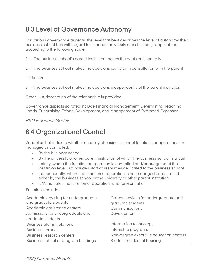#### 8.3 Level of Governance Autonomy

For various governance aspects, the level that best describes the level of autonomy their business school has with regard to its parent university or institution (if applicable), according to the following scale:

1 — The business school's parent institution makes the decisions centrally

2 — The business school makes the decisions jointly or in consultation with the parent

institution

3 — The business school makes the decisions independently of the parent institution

Other — A description of the relationship is provided

Governance aspects so rated include Financial Management, Determining Teaching Loads, Fundraising Efforts, Development, and Management of Overhead Expenses.

#### BSQ Finances Module

#### 8.4 Organizational Control

Variables that indicate whether an array of business school functions or operations are managed or controlled:

- By the business school
- By the university or other parent institution of which the business school is a part
- Jointly, where the function or operation is controlled and/or budgeted at the institution level but includes staff or resources dedicated to the business school
- Independently, where the function or operation is not managed or controlled either by the business school or the university or other parent institution
- N/A indicates the function or operation is not present at all

Functions include:

| Academic advising for undergraduate<br>and graduate students | Career services for undergraduate and<br>graduate students |  |
|--------------------------------------------------------------|------------------------------------------------------------|--|
| Academic assistance centers                                  | Communications                                             |  |
| Admissions for undergraduate and                             | Development                                                |  |
| graduate students                                            |                                                            |  |
| Business alumni relations                                    | Information technology                                     |  |
| <b>Business libraries</b>                                    | Internship programs                                        |  |
| Business research centers                                    | Non-degree executive education centers                     |  |
| Business school or program buildings                         | Student residential housing                                |  |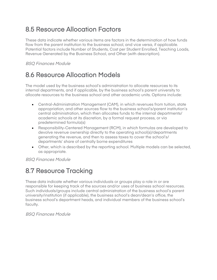#### 8.5 Resource Allocation Factors

These data indicate whether various items are factors in the determination of how funds flow from the parent institution to the business school, and vice versa, if applicable. Potential factors include Number of Students, Cost per Student Enrolled, Teaching Loads, Revenue Generated by the Business School, and Other (with description).

#### BSQ Finances Module

#### 8.6 Resource Allocation Models

The model used by the business school's administration to allocate resources to its internal departments, and if applicable, by the business school's parent university to allocate resources to the business school and other academic units. Options include:

- Central-Administration Management (CAM), in which revenues from tuition, state appropriation, and other sources flow to the business school's/parent institution's central administration, which then allocates funds to the internal departments/ academic schools at its discretion, by a formal request process, or via predetermined formula(s)
- Responsibility-Centered Management (RCM), in which formulas are developed to devolve revenue ownership directly to the operating school(s)/departments generating the revenue, and then to assess taxes to cover the school's/ departments' share of centrally borne expenditures
- Other, which is described by the reporting school. Multiple models can be selected, as appropriate.

BSQ Finances Module

#### 8.7 Resource Tracking

These data indicate whether various individuals or groups play a role in or are responsible for keeping track of the sources and/or uses of business school resources. Such individuals/groups include central administration of the business school's parent university/institution (if applicable), the business school's dean/dean's office, the business school's department heads, and individual members of the business school's faculty.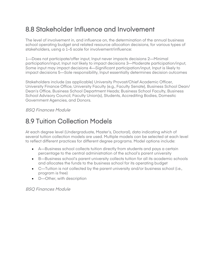#### 8.8 Stakeholder Influence and Involvement

The level of involvement in, and influence on, the determination of the annual business school operating budget and related resource allocation decisions, for various types of stakeholders, using a 1–5 scale for involvement/influence:

1—Does not participate/offer input, Input never impacts decisions 2—Minimal participation/input, Input not likely to impact decisions 3—Moderate participation/input, Some input may impact decisions 4—Significant participation/input, Input is likely to impact decisions 5—Sole responsibility, Input essentially determines decision outcomes

Stakeholders include (as applicable) University Provost/Chief Academic Officer, University Finance Office, University Faculty (e.g., Faculty Senate), Business School Dean/ Dean's Office, Business School Department Heads; Business School Faculty, Business School Advisory Council, Faculty Union(s), Students, Accrediting Bodies, Domestic Government Agencies, and Donors.

BSQ Finances Module

#### 8.9 Tuition Collection Models

At each degree level (Undergraduate, Master's, Doctoral), data indicating which of several tuition collection models are used. Multiple models can be selected at each level to reflect different practices for different degree programs. Model options include:

- A—Business school collects tuition directly from students and pays a certain percentage to the central administration of the school's parent university
- B—Business school's parent university collects tuition for all its academic schools and allocates the funds to the business school for its operating budget
- C—Tuition is not collected by the parent university and/or business school (i.e., program is free)
- D—Other, with description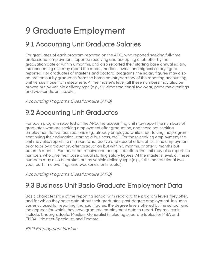# 9 Graduate Employment

#### 9.1 Accounting Unit Graduate Salaries

For graduates of each program reported on the APQ, who reported seeking full-time professional employment, reported receiving and accepting a job offer by their graduation date or within 6 months, and also reported their starting base annual salary, the accounting unit may report the mean, median, lowest and highest salary figure reported. For graduates of master's and doctoral programs, the salary figures may also be broken out by graduates from the home country/territory of the reporting accounting unit versus those from elsewhere. At the master's level, all these numbers may also be broken out by vehicle delivery type (e.g., full-time traditional two-year, part-time evenings and weekends, online, etc.).

Accounting Programs Questionnaire (APQ)

#### 9.2 Accounting Unit Graduates

For each program reported on the APQ, the accounting unit may report the numbers of graduates who are seeking employment after graduation, and those not seeking employment for various reasons (e.g., already employed while undertaking the program, continuing their education, starting a business, etc.). For those seeking employment, the unit may also report the numbers who receive and accept offers of full-time employment prior to or by graduation, after graduation but within 3 months, or after 3 months but before 6 months. For those that receive and accept job offers, the unit may also report the numbers who give their base annual starting salary figures. At the master's level, all these numbers may also be broken out by vehicle delivery type (e.g., full-time traditional twoyear, part-time evenings and weekends, online, etc.).

Accounting Programs Questionnaire (APQ)

#### 9.3 Business Unit Basic Graduate Employment Data

Basic characteristics of the reporting school with regard to the program levels they offer, and for which they have data about their graduates' post-degree employment. Includes currency used for reporting financial figures, the degree levels offered by the school, and the degrees for which they have graduate employment data to report. Degree levels include: Undergraduate, Masters-Generalist (including separate tables for MBA and EMBA), Masters-Specialist, and Doctoral.

BSQ Employment Module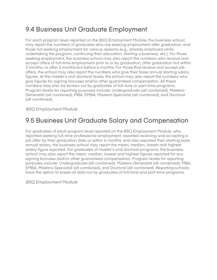#### 9.4 Business Unit Graduate Employment

For each program level reported on the BSQ Employment Module, the business school may report the numbers of graduates who are seeking employment after graduation, and those not seeking employment for various reasons (e.g., already employed while undertaking the program, continuing their education, starting a business, etc.). For those seeking employment, the business school may also report the numbers who receive and accept offers of full-time employment prior to or by graduation, after graduation but within 3 months, or after 3 months but before 6 months. For those that receive and accept job offers, the school may also report the numbers who give their base annual starting salary figures. At the master's and doctoral levels, the school may also report the numbers who give figures for signing bonuses and/or other guaranteed compensation. All these numbers may also be broken out by graduates of full-time or part-time programs. Program levels for reporting purposes include: Undergraduate (all combined), Masters-Generalist (all combined), MBA, EMBA, Masters-Specialist (all combined), and Doctoral (all combined).

#### BSQ Employment Module

#### 9.5 Business Unit Graduate Salary and Compensation

For graduates of each program level reported on the BSQ Employment Module, who reported seeking full-time professional employment, reported receiving and accepting a job offer by their graduation date or within 6 months, and also reported their starting base annual salary, the business school may report the mean, median, lowest and highest salary figure reported. For graduates of master's and doctoral programs, the business school may also report the mean, median, lowest and highest figures reported for any signing bonuses and/or other guaranteed compensation. Program levels for reporting purposes include: Undergraduate (all combined), Masters-Generalist (all combined), MBA, EMBA, Masters-Specialist (all combined), and Doctoral (all combined). Reporting schools have the option to break all data out by graduates of full-time and part-time programs.

BSQ Employment Module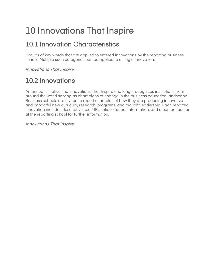# 10 Innovations That Inspire

#### 10.1 Innovation Characteristics

Groups of key words that are applied to entered innovations by the reporting business school. Multiple such categories can be applied to a single innovation.

Innovations That Inspire

### 10.2 Innovations

An annual initiative, the Innovations That Inspire challenge recognizes institutions from around the world serving as champions of change in the business education landscape. Business schools are invited to report examples of how they are producing innovative and impactful new curricula, research, programs, and thought leadership. Each reported innovation includes descriptive text, URL links to further information, and a contact person at the reporting school for further information.

Innovations That Inspire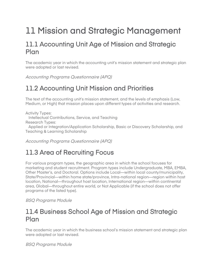### 11 Mission and Strategic Management

#### 11.1 Accounting Unit Age of Mission and Strategic Plan

The academic year in which the accounting unit's mission statement and strategic plan were adopted or last revised.

Accounting Programs Questionnaire (APQ)

### 11.2 Accounting Unit Mission and Priorities

The text of the accounting unit's mission statement, and the levels of emphasis (Low, Medium, or High) that mission places upon different types of activities and research.

Activity Types: Intellectual Contributions, Service, and Teaching Research Types:

 Applied or Integration/Application Scholarship, Basic or Discovery Scholarship, and Teaching & Learning Scholarship

Accounting Programs Questionnaire (APQ)

### 11.3 Area of Recruiting Focus

For various program types, the geographic area in which the school focuses for marketing and student recruitment. Program types include Undergraduate, MBA, EMBA, Other Master's, and Doctoral. Options include Local—within local county/municipality, State/Provincial—within home state/province, Intra-national region—region within host location, National—throughout host location, International region—within continental area, Global—throughout entire world, or Not Applicable (if the school does not offer programs of the listed type).

BSQ Programs Module

#### 11.4 Business School Age of Mission and Strategic Plan

The academic year in which the business school's mission statement and strategic plan were adopted or last revised.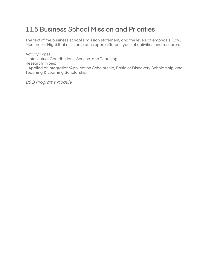#### 11.5 Business School Mission and Priorities

The text of the business school's mission statement, and the levels of emphasis (Low, Medium, or High) that mission places upon different types of activities and research.

Activity Types: Intellectual Contributions, Service, and Teaching Research Types: Applied or Integration/Application Scholarship, Basic or Discovery Scholarship, and Teaching & Learning Scholarship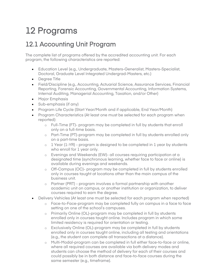## 12 Programs

#### 12.1 Accounting Unit Program

The complete list of programs offered by the accredited accounting unit. For each program, the following characteristics are reported:

- Education Level (e.g., Undergraduate, Masters-Generalist, Masters-Specialist, Doctoral, Graduate Level Integrated Undergrad-Masters, etc.)
- Degree Title
- Field/Discipline (e.g., Accounting, Actuarial Science, Assurance Services, Financial Reporting, Forensic Accounting, Governmental Accounting, Information Systems, Internal Auditing, Managerial Accounting, Taxation, and/or Other)
- Major Emphasis
- Sub-emphasis (if any)
- Program Life Cycle (Start Year/Month and if applicable, End Year/Month)
- Program Characteristics (At least one must be selected for each program when reported):
	- o Full-Time (FT)- program may be completed in full by students that enroll only on a full-time basis.
	- o Part-Time (PT)-program may be completed in full by students enrolled only on a part-time basis.
	- $\circ$  1 Year (1-YR) program is designed to be completed in 1 year by students who enroll for 1 year only.
	- o Evenings and Weekends (EW)- all courses requiring participation at a designated time (synchronous learning, whether face to face or online) is available during evenings and weekends.
	- o Off-Campus (OC)- program may be completed in full by students enrolled only in courses taught at locations other than the main campus of the business unit.
	- o Partner (PRT) program involves a formal partnership with another academic unit on campus, or another institution or organization, to deliver courses required to earn the degree.
- Delivery Vehicles (At least one must be selected for each program when reported)
	- o Face-to-Face-program may be completed fully on campus in a face to face setting on one of the school's campuses.
		- o Primarily Online (OL)-program may be completed in full by students enrolled only in courses taught online. Includes program in which some limited residency is required for orientation or testing.
		- o Exclusively Online (OL)-program may be completed in full by students enrolled only in courses taught online, including all testing and orientations (e.g., the student can complete all transactions at a distance).
		- o Multi-Modal-program can be completed in full either face-to-face or online, where all required courses are available via both delivery modes and students can choose the method of delivery for each of their courses and could possibly be in both distance and face-to-face courses during the same semester (e.g., timeframe).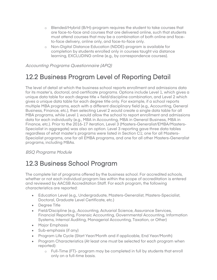- o Blended/Hybrid (B/H)-program requires the student to take courses that are face-to-face and courses that are delivered online, such that students must attend courses that may be a combination of both online and faceto-face delivery, online only, and face-to-face only.
- o Non-Digital Distance Education (NDDE)-program is available for completion by students enrolled only in courses taught via distance learning, EXCLUDING online (e.g., by correspondence courses).

Accounting Programs Questionnaire (APQ)

#### 12.2 Business Program Level of Reporting Detail

The level of detail at which the business school reports enrollment and admissions data for its master's, doctoral, and certificate programs. Options include Level 1, which gives a unique data table for each degree title + field/discipline combination, and Level 2 which gives a unique data table for each degree title only. For example, if a school reports multiple MBA programs, each with a different disciplinary field (e.g., Accounting, General Business, Finance, etc.), then selecting Level 2 would create a single data table for all MBA programs, while Level 1 would allow the school to report enrollment and admissions data for each individually (e.g., MBA in Accounting, MBA in General Business, MBA in Finance, etc.). Prior to the 2016-17 iteration, Level 3 (Masters-Generalist/EMBA/Masters-Specialist in aggregate) was also an option. Level 3 reporting gave three data tables regardless of what master's programs were listed in Section C1; one for all Masters-Specialist programs, one for all EMBA programs, and one for all other Masters-Generalist programs, including MBAs.

#### BSQ Programs Module

#### 12.3 Business School Program

The complete list of programs offered by the business school. For accredited schools, whether or not each individual program lies within the scope of accreditation is entered and reviewed by AACSB Accreditation Staff. For each program, the following characteristics are reported:

- Education Level (e.g., Undergraduate, Masters-Generalist, Masters-Specialist, Doctoral, Graduate Level Certificate, etc.)
- Degree Title
- Field/Discipline (e.g., Accounting, Actuarial Science, Assurance Services, Financial Reporting, Forensic Accounting, Governmental Accounting, Information Systems, Internal Auditing, Managerial Accounting, Taxation, or Other)
- Major Emphasis
- Sub-emphasis (if any)
- Program Life Cycle (Start Year/Month and if applicable, End Year/Month)
- Program Characteristics (At least one must be selected for each program when reported):
	- o Full-Time (FT)- program may be completed in full by students that enroll only on a full-time basis.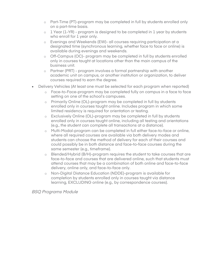- o Part-Time (PT)-program may be completed in full by students enrolled only on a part-time basis.
- $\circ$  1 Year (1-YR) program is designed to be completed in 1 year by students who enroll for 1 year only.
- o Evenings and Weekends (EW)- all courses requiring participation at a designated time (synchronous learning, whether face to face or online) is available during evenings and weekends.
- o Off-Campus (OC)- program may be completed in full by students enrolled only in courses taught at locations other than the main campus of the business unit.
- o Partner (PRT) program involves a formal partnership with another academic unit on campus, or another institution or organization, to deliver courses required to earn the degree.
- Delivery Vehicles (At least one must be selected for each program when reported)
	- o Face-to-Face-program may be completed fully on campus in a face to face setting on one of the school's campuses.
	- o Primarily Online (OL)-program may be completed in full by students enrolled only in courses taught online. Includes program in which some limited residency is required for orientation or testing.
	- o Exclusively Online (OL)-program may be completed in full by students enrolled only in courses taught online, including all testing and orientations (e.g., the student can complete all transactions at a distance).
	- o Multi-Modal-program can be completed in full either face-to-face or online, where all required courses are available via both delivery modes and students can choose the method of delivery for each of their courses and could possibly be in both distance and face-to-face courses during the same semester (e.g., timeframe).
	- o Blended/Hybrid (B/H)-program requires the student to take courses that are face-to-face and courses that are delivered online, such that students must attend courses that may be a combination of both online and face-to-face delivery, online only, and face-to-face only.
	- o Non-Digital Distance Education (NDDE)-program is available for completion by students enrolled only in courses taught via distance learning, EXCLUDING online (e.g., by correspondence courses).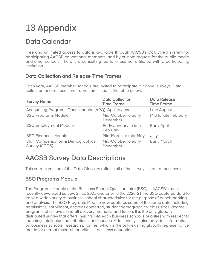# 13 Appendix

#### Data Calendar

Free and unlimited access to data is available through AACSB's DataDirect system for participating AACSB educational members, and by custom request for the public media and other schools. There is a consulting fee for those not affiliated with a participating institution.

#### Data Collection and Release Time Frames

Each year, AACSB member schools are invited to participate in annual surveys. Data collection and release time frames are listed in the table below:

| <b>Survey Name</b>                                            | <b>Data Collection</b><br><b>Time Frame</b> | <b>Data Release</b><br><b>Time Frame</b> |
|---------------------------------------------------------------|---------------------------------------------|------------------------------------------|
| Accounting Programs Questionnaire (APQ) April to June         | Late August                                 |                                          |
| <b>BSQ Programs Module</b>                                    | Mid-October to early<br>December            | Mid to late February                     |
| <b>BSQ Employment Module</b>                                  | Early January to late<br>February           | Early April                              |
| <b>BSQ Finances Module</b>                                    | Mid-March to mid-May                        | July                                     |
| <b>Staff Compensation &amp; Demographics</b><br>Survey (SCDS) | Mid-October to early<br>December            | <b>Early March</b>                       |

#### AACSB Survey Data Descriptions

This current version of the Data Glossary reflects all of the surveys in our annual cycle:

#### BSQ Programs Module

The Programs Module of the Business School Questionnaire (BSQ) is AACSB's most recently developed survey. Since 2001 and prior to the 2020-21 the BSQ captured data to track a wide variety of business school characteristics for the purpose of benchmarking and analysis. The BSQ Programs Module now captures some of the same data including admissions, enrollment, degrees conferred, student demographics, class sizes, degree programs of all levels and all delivery methods, and tuition. It is the only globally distributed survey that offers insights into each business school's priorities with respect to teaching, intellectual contributions, and service. Additionally, it also provides information on business schools' research priorities, which is the only existing globally representative metric for current research priorities in business education.